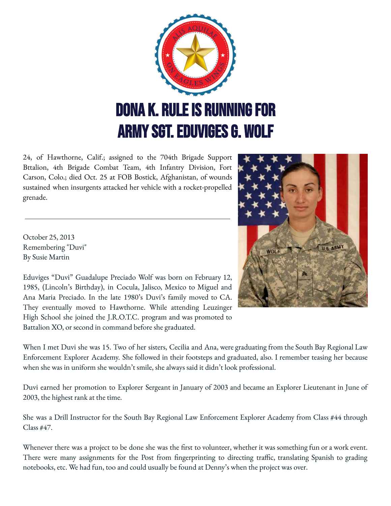

24, of Hawthorne, Calif.; assigned to the 704th Brigade Support Bttalion, 4th Brigade Combat Team, 4th Infantry Division, Fort Carson, Colo.; died Oct. 25 at FOB Bostick, Afghanistan, of wounds sustained when insurgents attacked her vehicle with a rocket-propelled grenade.

October 25, 2013 Remembering "Duvi" By Susie Martin

Eduviges "Duvi" Guadalupe Preciado Wolf was born on February 12, 1985, (Lincoln's Birthday), in Cocula, Jalisco, Mexico to Miguel and Ana Maria Preciado. In the late 1980's Duvi's family moved to CA. They eventually moved to Hawthorne. While attending Leuzinger High School she joined the J.R.O.T.C. program and was promoted to Battalion XO, or second in command before she graduated.



When I met Duvi she was 15. Two of her sisters, Cecilia and Ana, were graduating from the South Bay Regional Law Enforcement Explorer Academy. She followed in their footsteps and graduated, also. I remember teasing her because when she was in uniform she wouldn't smile, she always said it didn't look professional.

Duvi earned her promotion to Explorer Sergeant in January of 2003 and became an Explorer Lieutenant in June of 2003, the highest rank at the time.

She was a Drill Instructor for the South Bay Regional Law Enforcement Explorer Academy from Class #44 through Class #47.

Whenever there was a project to be done she was the first to volunteer, whether it was something fun or a work event. There were many assignments for the Post from fingerprinting to directing traffic, translating Spanish to grading notebooks, etc. We had fun, too and could usually be found at Denny's when the project was over.